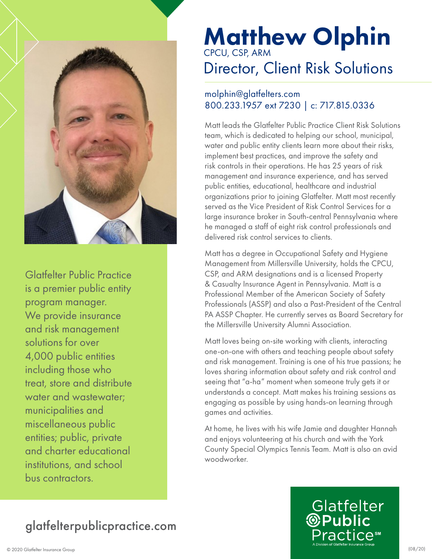

Glatfelter Public Practice is a premier public entity program manager. We provide insurance and risk management solutions for over 4,000 public entities including those who treat, store and distribute water and wastewater; municipalities and miscellaneous public entities; public, private and charter educational institutions, and school bus contractors.

# Matthew Olphin CPCU, CSP, ARM

# Director, Client Risk Solutions

#### molphin@glatfelters.com 800.233.1957 ext 7230 | c: 717.815.0336

Matt leads the Glatfelter Public Practice Client Risk Solutions team, which is dedicated to helping our school, municipal, water and public entity clients learn more about their risks, implement best practices, and improve the safety and risk controls in their operations. He has 25 years of risk management and insurance experience, and has served public entities, educational, healthcare and industrial organizations prior to joining Glatfelter. Matt most recently served as the Vice President of Risk Control Services for a large insurance broker in South-central Pennsylvania where he managed a staff of eight risk control professionals and delivered risk control services to clients.

Matt has a degree in Occupational Safety and Hygiene Management from Millersville University, holds the CPCU, CSP, and ARM designations and is a licensed Property & Casualty Insurance Agent in Pennsylvania. Matt is a Professional Member of the American Society of Safety Professionals (ASSP) and also a Past-President of the Central PA ASSP Chapter. He currently serves as Board Secretary for the Millersville University Alumni Association.

Matt loves being on-site working with clients, interacting one-on-one with others and teaching people about safety and risk management. Training is one of his true passions; he loves sharing information about safety and risk control and seeing that "a-ha" moment when someone truly gets it or understands a concept. Matt makes his training sessions as engaging as possible by using hands-on learning through games and activities.

At home, he lives with his wife Jamie and daughter Hannah and enjoys volunteering at his church and with the York County Special Olympics Tennis Team. Matt is also an avid woodworker.

### glatfelterpublicpractice.com

# Glatfelter **<sup>@</sup>Public**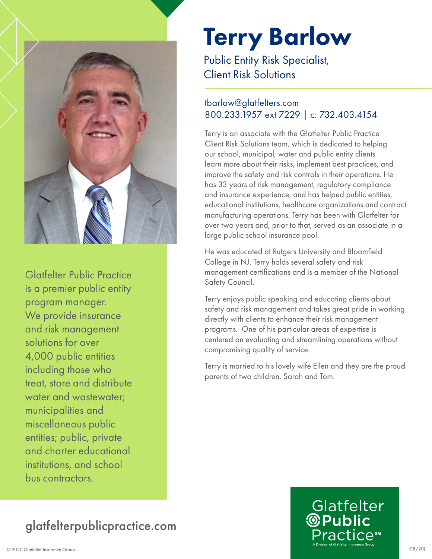

Glatfelter Public Practice is a premier public entity program manager. We provide insurance and risk management solutions for over 4,000 public entities including those who treat, store and distribute water and wastewater; municipalities and miscellaneous public entities; public, private and charter educational institutions, and school bus contractors.

# Terry Barlow Public Entity Risk Specialist,

Client Risk Solutions

### tbarlow@glatfelters.com 800.233.1957 ext 7229 | c: 732.403.4154

Terry is an associate with the Glatfelter Public Practice Client Risk Solutions team, which is dedicated to helping our school, municipal, water and public entity clients learn more about their risks, implement best practices, and improve the safety and risk controls in their operations. He has 33 years of risk management, regulatory compliance and insurance experience, and has helped public entities, educational institutions, healthcare organizations and contract manufacturing operations. Terry has been with Glatfelter for over two years and, prior to that, served as an associate in a large public school insurance pool.

He was educated at Rutgers University and Bloomfield College in NJ. Terry holds several safety and risk management certifications and is a member of the National Safety Council.

Terry enjoys public speaking and educating clients about safety and risk management and takes great pride in working directly with clients to enhance their risk management programs. One of his particular areas of expertise is centered on evaluating and streamlining operations without compromising quality of service.

Terry is married to his lovely wife Ellen and they are the proud parents of two children, Sarah and Tom.

## glatfelterpublicpractice.com

# Glatfelter **<sup>@Public</sup>**